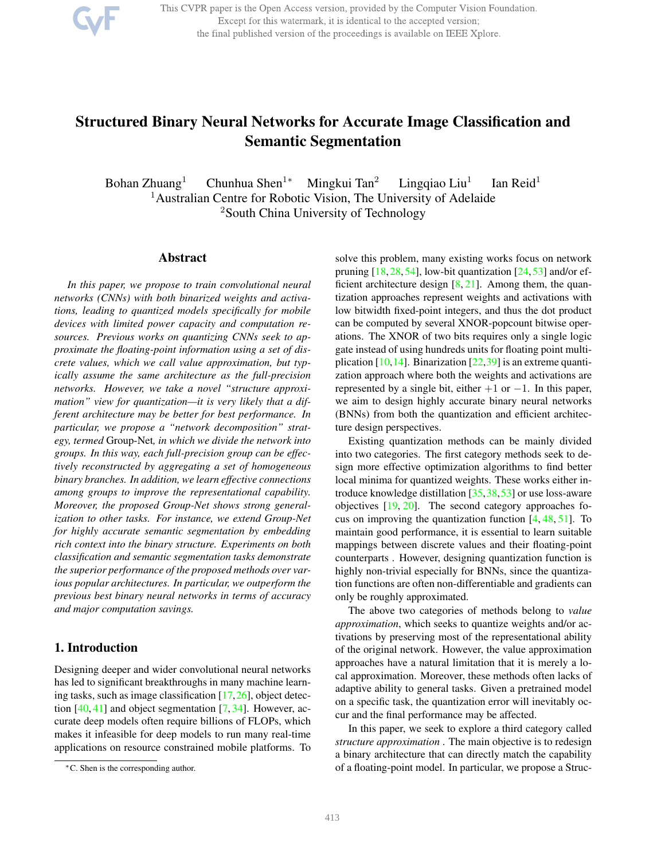

This CVPR paper is the Open Access version, provided by the Computer Vision Foundation. Except for this watermark, it is identical to the accepted version; the final published version of the proceedings is available on IEEE Xplore.

# Structured Binary Neural Networks for Accurate Image Classification and Semantic Segmentation

Bohan Zhuang<sup>1</sup> Chunhua Shen<sup>1∗</sup> Mingkui Tan<sup>2</sup> Lingqiao Liu<sup>1</sup> Ian Reid<sup>1</sup> <sup>1</sup> Australian Centre for Robotic Vision, The University of Adelaide <sup>2</sup>South China University of Technology

#### Abstract

*In this paper, we propose to train convolutional neural networks (CNNs) with both binarized weights and activations, leading to quantized models specifically for mobile devices with limited power capacity and computation resources. Previous works on quantizing CNNs seek to approximate the floating-point information using a set of discrete values, which we call value approximation, but typically assume the same architecture as the full-precision networks. However, we take a novel "structure approximation" view for quantization—it is very likely that a different architecture may be better for best performance. In particular, we propose a "network decomposition" strategy, termed* Group-Net*, in which we divide the network into groups. In this way, each full-precision group can be effectively reconstructed by aggregating a set of homogeneous binary branches. In addition, we learn effective connections among groups to improve the representational capability. Moreover, the proposed Group-Net shows strong generalization to other tasks. For instance, we extend Group-Net for highly accurate semantic segmentation by embedding rich context into the binary structure. Experiments on both classification and semantic segmentation tasks demonstrate the superior performance of the proposed methods over various popular architectures. In particular, we outperform the previous best binary neural networks in terms of accuracy and major computation savings.*

# 1. Introduction

Designing deeper and wider convolutional neural networks has led to significant breakthroughs in many machine learning tasks, such as image classification  $[17,26]$ , object detection  $[40, 41]$  and object segmentation  $[7, 34]$ . However, accurate deep models often require billions of FLOPs, which makes it infeasible for deep models to run many real-time applications on resource constrained mobile platforms. To solve this problem, many existing works focus on network pruning  $[18, 28, 54]$ , low-bit quantization  $[24, 53]$  and/or efficient architecture design  $[8, 21]$ . Among them, the quantization approaches represent weights and activations with low bitwidth fixed-point integers, and thus the dot product can be computed by several XNOR-popcount bitwise operations. The XNOR of two bits requires only a single logic gate instead of using hundreds units for floating point multiplication  $[10,14]$ . Binarization  $[22,39]$  is an extreme quantization approach where both the weights and activations are represented by a single bit, either  $+1$  or  $-1$ . In this paper, we aim to design highly accurate binary neural networks (BNNs) from both the quantization and efficient architecture design perspectives.

Existing quantization methods can be mainly divided into two categories. The first category methods seek to design more effective optimization algorithms to find better local minima for quantized weights. These works either introduce knowledge distillation [35,38,53] or use loss-aware objectives [19, 20]. The second category approaches focus on improving the quantization function  $[4, 48, 51]$ . To maintain good performance, it is essential to learn suitable mappings between discrete values and their floating-point counterparts . However, designing quantization function is highly non-trivial especially for BNNs, since the quantization functions are often non-differentiable and gradients can only be roughly approximated.

The above two categories of methods belong to *value approximation*, which seeks to quantize weights and/or activations by preserving most of the representational ability of the original network. However, the value approximation approaches have a natural limitation that it is merely a local approximation. Moreover, these methods often lacks of adaptive ability to general tasks. Given a pretrained model on a specific task, the quantization error will inevitably occur and the final performance may be affected.

In this paper, we seek to explore a third category called *structure approximation* . The main objective is to redesign a binary architecture that can directly match the capability of a floating-point model. In particular, we propose a Struc-

<sup>∗</sup>C. Shen is the corresponding author.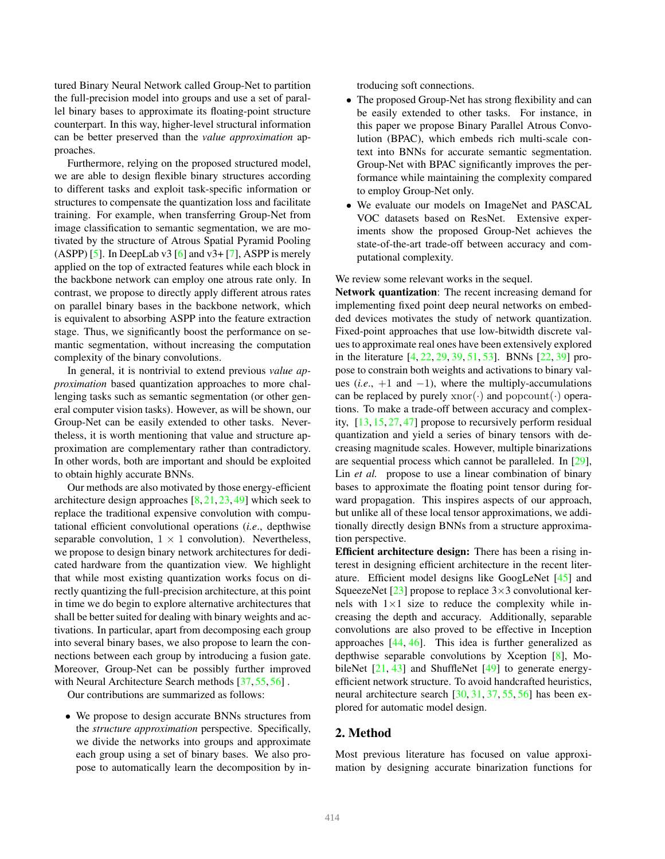tured Binary Neural Network called Group-Net to partition the full-precision model into groups and use a set of parallel binary bases to approximate its floating-point structure counterpart. In this way, higher-level structural information can be better preserved than the *value approximation* approaches.

Furthermore, relying on the proposed structured model, we are able to design flexible binary structures according to different tasks and exploit task-specific information or structures to compensate the quantization loss and facilitate training. For example, when transferring Group-Net from image classification to semantic segmentation, we are motivated by the structure of Atrous Spatial Pyramid Pooling (ASPP) [5]. In DeepLab v3 [6] and v3+ [7], ASPP is merely applied on the top of extracted features while each block in the backbone network can employ one atrous rate only. In contrast, we propose to directly apply different atrous rates on parallel binary bases in the backbone network, which is equivalent to absorbing ASPP into the feature extraction stage. Thus, we significantly boost the performance on semantic segmentation, without increasing the computation complexity of the binary convolutions.

In general, it is nontrivial to extend previous *value approximation* based quantization approaches to more challenging tasks such as semantic segmentation (or other general computer vision tasks). However, as will be shown, our Group-Net can be easily extended to other tasks. Nevertheless, it is worth mentioning that value and structure approximation are complementary rather than contradictory. In other words, both are important and should be exploited to obtain highly accurate BNNs.

Our methods are also motivated by those energy-efficient architecture design approaches  $[8, 21, 23, 49]$  which seek to replace the traditional expensive convolution with computational efficient convolutional operations (*i.e*., depthwise separable convolution,  $1 \times 1$  convolution). Nevertheless, we propose to design binary network architectures for dedicated hardware from the quantization view. We highlight that while most existing quantization works focus on directly quantizing the full-precision architecture, at this point in time we do begin to explore alternative architectures that shall be better suited for dealing with binary weights and activations. In particular, apart from decomposing each group into several binary bases, we also propose to learn the connections between each group by introducing a fusion gate. Moreover, Group-Net can be possibly further improved with Neural Architecture Search methods [37, 55, 56].

Our contributions are summarized as follows:

• We propose to design accurate BNNs structures from the *structure approximation* perspective. Specifically, we divide the networks into groups and approximate each group using a set of binary bases. We also propose to automatically learn the decomposition by introducing soft connections.

- The proposed Group-Net has strong flexibility and can be easily extended to other tasks. For instance, in this paper we propose Binary Parallel Atrous Convolution (BPAC), which embeds rich multi-scale context into BNNs for accurate semantic segmentation. Group-Net with BPAC significantly improves the performance while maintaining the complexity compared to employ Group-Net only.
- We evaluate our models on ImageNet and PASCAL VOC datasets based on ResNet. Extensive experiments show the proposed Group-Net achieves the state-of-the-art trade-off between accuracy and computational complexity.

We review some relevant works in the sequel.

Network quantization: The recent increasing demand for implementing fixed point deep neural networks on embedded devices motivates the study of network quantization. Fixed-point approaches that use low-bitwidth discrete values to approximate real ones have been extensively explored in the literature [4, 22, 29, 39, 51, 53]. BNNs [22, 39] propose to constrain both weights and activations to binary values  $(i.e., +1$  and  $-1)$ , where the multiply-accumulations can be replaced by purely  $xnor(\cdot)$  and  $popcount(\cdot)$  operations. To make a trade-off between accuracy and complexity, [13, 15, 27, 47] propose to recursively perform residual quantization and yield a series of binary tensors with decreasing magnitude scales. However, multiple binarizations are sequential process which cannot be paralleled. In [29], Lin *et al.* propose to use a linear combination of binary bases to approximate the floating point tensor during forward propagation. This inspires aspects of our approach, but unlike all of these local tensor approximations, we additionally directly design BNNs from a structure approximation perspective.

Efficient architecture design: There has been a rising interest in designing efficient architecture in the recent literature. Efficient model designs like GoogLeNet [45] and SqueezeNet [23] propose to replace  $3 \times 3$  convolutional kernels with  $1\times1$  size to reduce the complexity while increasing the depth and accuracy. Additionally, separable convolutions are also proved to be effective in Inception approaches [44, 46]. This idea is further generalized as depthwise separable convolutions by Xception [8], MobileNet [21, 43] and ShuffleNet [49] to generate energyefficient network structure. To avoid handcrafted heuristics, neural architecture search [30, 31, 37, 55, 56] has been explored for automatic model design.

## 2. Method

Most previous literature has focused on value approximation by designing accurate binarization functions for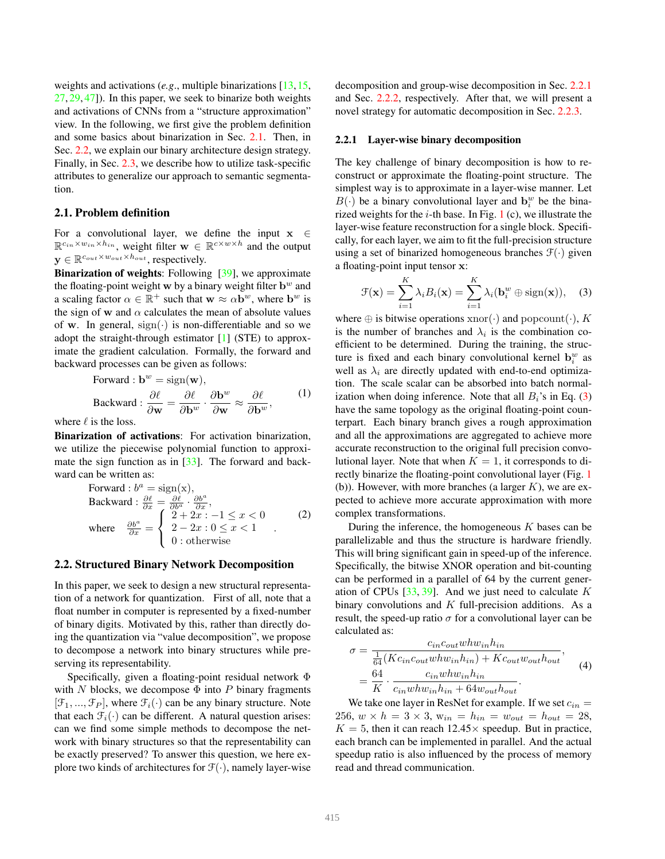weights and activations (*e.g*., multiple binarizations [13,15, 27, 29, 47]). In this paper, we seek to binarize both weights and activations of CNNs from a "structure approximation" view. In the following, we first give the problem definition and some basics about binarization in Sec. 2.1. Then, in Sec. 2.2, we explain our binary architecture design strategy. Finally, in Sec. 2.3, we describe how to utilize task-specific attributes to generalize our approach to semantic segmentation.

# 2.1. Problem definition

For a convolutional layer, we define the input  $x \in$  $\mathbb{R}^{c_{in} \times w_{in} \times h_{in}}$ , weight filter  $\mathbf{w} \in \mathbb{R}^{c \times w \times h}$  and the output  $\mathbf{y} \in \mathbb{R}^{c_{out} \times w_{out} \times h_{out}}$ , respectively.

Binarization of weights: Following [39], we approximate the floating-point weight w by a binary weight filter  $\mathbf{b}^w$  and a scaling factor  $\alpha \in \mathbb{R}^+$  such that  $\mathbf{w} \approx \alpha \mathbf{b}^w$ , where  $\mathbf{b}^w$  is the sign of w and  $\alpha$  calculates the mean of absolute values of w. In general,  $sign(\cdot)$  is non-differentiable and so we adopt the straight-through estimator [1] (STE) to approximate the gradient calculation. Formally, the forward and backward processes can be given as follows:

Forward : 
$$
\mathbf{b}^w = \text{sign}(\mathbf{w}),
$$
  
\nBackward :  $\frac{\partial \ell}{\partial \mathbf{w}} = \frac{\partial \ell}{\partial \mathbf{b}^w} \cdot \frac{\partial \mathbf{b}^w}{\partial \mathbf{w}} \approx \frac{\partial \ell}{\partial \mathbf{b}^w},$  (1)

where  $\ell$  is the loss.

Binarization of activations: For activation binarization, we utilize the piecewise polynomial function to approximate the sign function as in [33]. The forward and backward can be written as:

Forward: 
$$
b^a = sign(x)
$$
,  
\nBackward:  $\frac{\partial \ell}{\partial x} = \frac{\partial \ell}{\partial b^a} \cdot \frac{\partial b^a}{\partial x}$ ,  
\nwhere  $\frac{\partial b^a}{\partial x} = \begin{cases} 2 + 2x : -1 \le x < 0 \\ 2 - 2x : 0 \le x < 1 \\ 0 : \text{otherwise} \end{cases}$  (2)

#### 2.2. Structured Binary Network Decomposition

In this paper, we seek to design a new structural representation of a network for quantization. First of all, note that a float number in computer is represented by a fixed-number of binary digits. Motivated by this, rather than directly doing the quantization via "value decomposition", we propose to decompose a network into binary structures while preserving its representability.

Specifically, given a floating-point residual network Φ with N blocks, we decompose  $\Phi$  into P binary fragments  $[\mathcal{F}_1, ..., \mathcal{F}_P]$ , where  $\mathcal{F}_i(\cdot)$  can be any binary structure. Note that each  $\mathcal{F}_i(\cdot)$  can be different. A natural question arises: can we find some simple methods to decompose the network with binary structures so that the representability can be exactly preserved? To answer this question, we here explore two kinds of architectures for  $\mathcal{F}(\cdot)$ , namely layer-wise decomposition and group-wise decomposition in Sec. 2.2.1 and Sec. 2.2.2, respectively. After that, we will present a novel strategy for automatic decomposition in Sec. 2.2.3.

#### 2.2.1 Layer-wise binary decomposition

The key challenge of binary decomposition is how to reconstruct or approximate the floating-point structure. The simplest way is to approximate in a layer-wise manner. Let  $B(\cdot)$  be a binary convolutional layer and  $\mathbf{b}_i^w$  be the binarized weights for the  $i$ -th base. In Fig. 1 (c), we illustrate the layer-wise feature reconstruction for a single block. Specifically, for each layer, we aim to fit the full-precision structure using a set of binarized homogeneous branches  $\mathcal{F}(\cdot)$  given a floating-point input tensor x:

$$
\mathcal{F}(\mathbf{x}) = \sum_{i=1}^{K} \lambda_i B_i(\mathbf{x}) = \sum_{i=1}^{K} \lambda_i (\mathbf{b}_i^w \oplus \text{sign}(\mathbf{x})), \quad (3)
$$

where  $\oplus$  is bitwise operations xnor( $\cdot$ ) and popcount( $\cdot$ ), K is the number of branches and  $\lambda_i$  is the combination coefficient to be determined. During the training, the structure is fixed and each binary convolutional kernel  $\mathbf{b}_i^w$  as well as  $\lambda_i$  are directly updated with end-to-end optimization. The scale scalar can be absorbed into batch normalization when doing inference. Note that all  $B_i$ 's in Eq. (3) have the same topology as the original floating-point counterpart. Each binary branch gives a rough approximation and all the approximations are aggregated to achieve more accurate reconstruction to the original full precision convolutional layer. Note that when  $K = 1$ , it corresponds to directly binarize the floating-point convolutional layer (Fig. 1 (b)). However, with more branches (a larger  $K$ ), we are expected to achieve more accurate approximation with more complex transformations.

During the inference, the homogeneous  $K$  bases can be parallelizable and thus the structure is hardware friendly. This will bring significant gain in speed-up of the inference. Specifically, the bitwise XNOR operation and bit-counting can be performed in a parallel of 64 by the current generation of CPUs  $[33, 39]$ . And we just need to calculate K binary convolutions and  $K$  full-precision additions. As a result, the speed-up ratio  $\sigma$  for a convolutional layer can be calculated as:

$$
\sigma = \frac{c_{in}c_{out}whw_{in}h_{in}}{\frac{1}{64}(Kc_{in}c_{out}whw_{in}h_{in}) + Kc_{out}w_{out}h_{out}},
$$
  
=  $\frac{64}{K} \cdot \frac{c_{in}whw_{in}h_{in}}{c_{in}whw_{in}h_{in} + 64w_{out}h_{out}}.$  (4)

We take one layer in ResNet for example. If we set  $c_{in} =$ 256,  $w \times h = 3 \times 3$ ,  $w_{in} = h_{in} = w_{out} = h_{out} = 28$ ,  $K = 5$ , then it can reach 12.45  $\times$  speedup. But in practice, each branch can be implemented in parallel. And the actual speedup ratio is also influenced by the process of memory read and thread communication.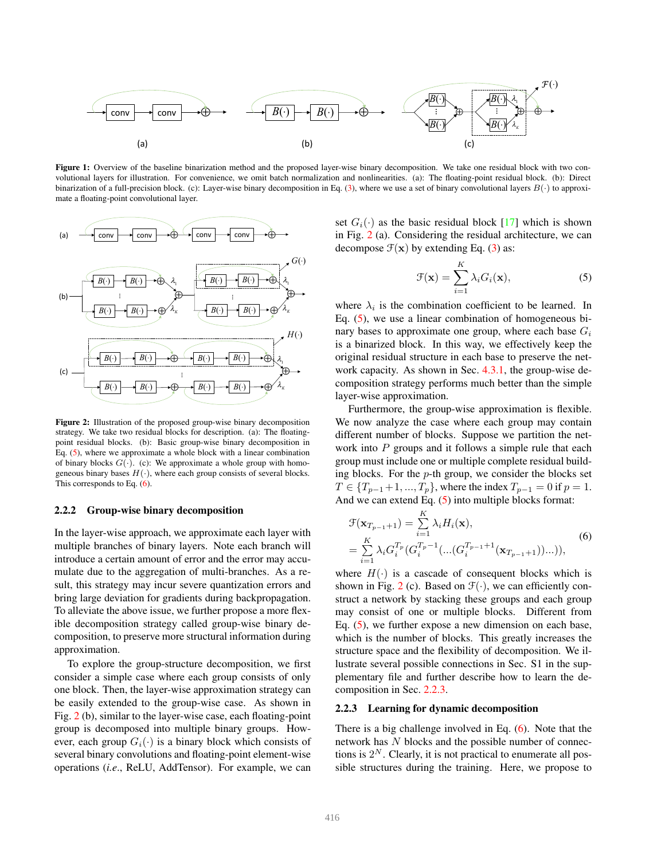

Figure 1: Overview of the baseline binarization method and the proposed layer-wise binary decomposition. We take one residual block with two convolutional layers for illustration. For convenience, we omit batch normalization and nonlinearities. (a): The floating-point residual block. (b): Direct binarization of a full-precision block. (c): Layer-wise binary decomposition in Eq. (3), where we use a set of binary convolutional layers  $B(\cdot)$  to approximate a floating-point convolutional layer.



Figure 2: Illustration of the proposed group-wise binary decomposition strategy. We take two residual blocks for description. (a): The floatingpoint residual blocks. (b): Basic group-wise binary decomposition in Eq. (5), where we approximate a whole block with a linear combination of binary blocks  $G(\cdot)$ . (c): We approximate a whole group with homogeneous binary bases  $H(\cdot)$ , where each group consists of several blocks. This corresponds to Eq. (6).

# 2.2.2 Group-wise binary decomposition

In the layer-wise approach, we approximate each layer with multiple branches of binary layers. Note each branch will introduce a certain amount of error and the error may accumulate due to the aggregation of multi-branches. As a result, this strategy may incur severe quantization errors and bring large deviation for gradients during backpropagation. To alleviate the above issue, we further propose a more flexible decomposition strategy called group-wise binary decomposition, to preserve more structural information during approximation.

To explore the group-structure decomposition, we first consider a simple case where each group consists of only one block. Then, the layer-wise approximation strategy can be easily extended to the group-wise case. As shown in Fig. 2 (b), similar to the layer-wise case, each floating-point group is decomposed into multiple binary groups. However, each group  $G_i(\cdot)$  is a binary block which consists of several binary convolutions and floating-point element-wise operations (*i.e*., ReLU, AddTensor). For example, we can set  $G_i(\cdot)$  as the basic residual block [17] which is shown in Fig. 2 (a). Considering the residual architecture, we can decompose  $\mathcal{F}(\mathbf{x})$  by extending Eq. (3) as:

$$
\mathcal{F}(\mathbf{x}) = \sum_{i=1}^{K} \lambda_i G_i(\mathbf{x}),\tag{5}
$$

where  $\lambda_i$  is the combination coefficient to be learned. In Eq. (5), we use a linear combination of homogeneous binary bases to approximate one group, where each base  $G_i$ is a binarized block. In this way, we effectively keep the original residual structure in each base to preserve the network capacity. As shown in Sec. 4.3.1, the group-wise decomposition strategy performs much better than the simple layer-wise approximation.

Furthermore, the group-wise approximation is flexible. We now analyze the case where each group may contain different number of blocks. Suppose we partition the network into  $P$  groups and it follows a simple rule that each group must include one or multiple complete residual building blocks. For the  $p$ -th group, we consider the blocks set  $T \in \{T_{p-1}+1, ..., T_p\}$ , where the index  $T_{p-1} = 0$  if  $p = 1$ . And we can extend Eq. (5) into multiple blocks format:

$$
\mathcal{F}(\mathbf{x}_{T_{p-1}+1}) = \sum_{i=1}^{K} \lambda_i H_i(\mathbf{x}),
$$
\n
$$
= \sum_{i=1}^{K} \lambda_i G_i^{T_p} (G_i^{T_p - 1}(\dots(G_i^{T_{p-1}+1}(\mathbf{x}_{T_{p-1}+1}))\dots)),
$$
\n(6)

where  $H(\cdot)$  is a cascade of consequent blocks which is shown in Fig. 2 (c). Based on  $\mathcal{F}(\cdot)$ , we can efficiently construct a network by stacking these groups and each group may consist of one or multiple blocks. Different from Eq. (5), we further expose a new dimension on each base, which is the number of blocks. This greatly increases the structure space and the flexibility of decomposition. We illustrate several possible connections in Sec. S1 in the supplementary file and further describe how to learn the decomposition in Sec. 2.2.3.

#### 2.2.3 Learning for dynamic decomposition

There is a big challenge involved in Eq. (6). Note that the network has N blocks and the possible number of connections is  $2^N$ . Clearly, it is not practical to enumerate all possible structures during the training. Here, we propose to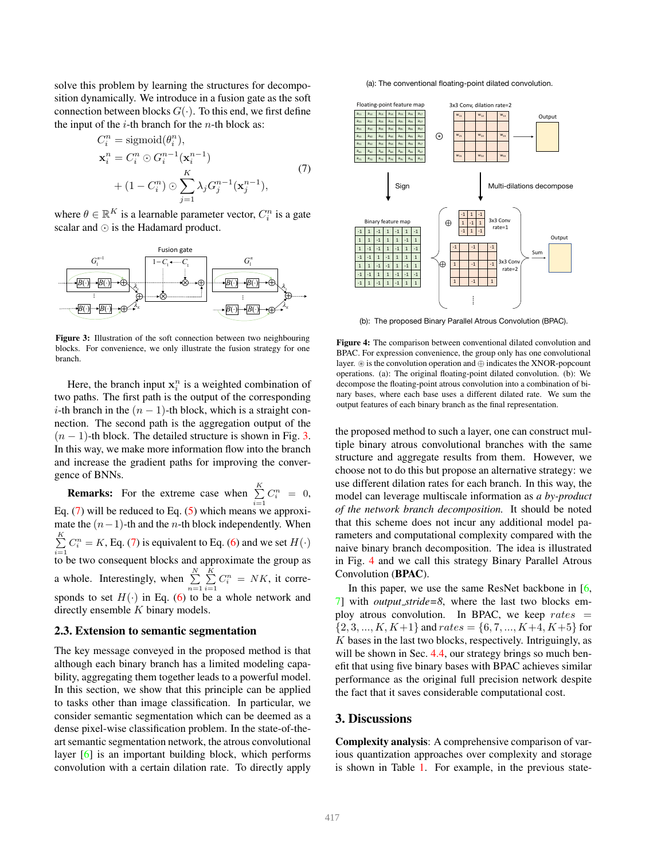solve this problem by learning the structures for decomposition dynamically. We introduce in a fusion gate as the soft connection between blocks  $G(\cdot)$ . To this end, we first define the input of the  $i$ -th branch for the  $n$ -th block as:

$$
C_i^n = \text{sigmoid}(\theta_i^n),
$$
  
\n
$$
\mathbf{x}_i^n = C_i^n \odot G_i^{n-1}(\mathbf{x}_i^{n-1})
$$
  
\n
$$
+ (1 - C_i^n) \odot \sum_{j=1}^K \lambda_j G_j^{n-1}(\mathbf{x}_j^{n-1}),
$$
\n(7)

where  $\theta \in \mathbb{R}^K$  is a learnable parameter vector,  $C_i^n$  is a gate scalar and ⊙ is the Hadamard product.



Figure 3: Illustration of the soft connection between two neighbouring blocks. For convenience, we only illustrate the fusion strategy for one branch.

Here, the branch input  $x_i^n$  is a weighted combination of two paths. The first path is the output of the corresponding i-th branch in the  $(n - 1)$ -th block, which is a straight connection. The second path is the aggregation output of the  $(n - 1)$ -th block. The detailed structure is shown in Fig. 3. In this way, we make more information flow into the branch and increase the gradient paths for improving the convergence of BNNs.

**Remarks:** For the extreme case when  $\sum_{i=1}^{K} C_i^n = 0$ , Eq. (7) will be reduced to Eq. (5) which means we approximate the  $(n-1)$ -th and the *n*-th block independently. When  $\sum_{i=1}^{K} C_i^n = K$ , Eq. (7) is equivalent to Eq. (6) and we set  $H(\cdot)$  $\sum_{i=1}^{n}$  to be two consequent blocks and approximate the group as a whole. Interestingly, when  $\sum_{n=1}^{N} \sum_{i=1}^{K} C_i^n = N K$ , it corresponds to set  $H(\cdot)$  in Eq. (6) to be a whole network and directly ensemble  $K$  binary models.

#### 2.3. Extension to semantic segmentation

The key message conveyed in the proposed method is that although each binary branch has a limited modeling capability, aggregating them together leads to a powerful model. In this section, we show that this principle can be applied to tasks other than image classification. In particular, we consider semantic segmentation which can be deemed as a dense pixel-wise classification problem. In the state-of-theart semantic segmentation network, the atrous convolutional layer [6] is an important building block, which performs convolution with a certain dilation rate. To directly apply



(b): The proposed Binary Parallel Atrous Convolution (BPAC).

Figure 4: The comparison between conventional dilated convolution and BPAC. For expression convenience, the group only has one convolutional layer. ⊛ is the convolution operation and ⊕ indicates the XNOR-popcount operations. (a): The original floating-point dilated convolution. (b): We decompose the floating-point atrous convolution into a combination of binary bases, where each base uses a different dilated rate. We sum the output features of each binary branch as the final representation.

the proposed method to such a layer, one can construct multiple binary atrous convolutional branches with the same structure and aggregate results from them. However, we choose not to do this but propose an alternative strategy: we use different dilation rates for each branch. In this way, the model can leverage multiscale information as *a by-product of the network branch decomposition.* It should be noted that this scheme does not incur any additional model parameters and computational complexity compared with the naive binary branch decomposition. The idea is illustrated in Fig. 4 and we call this strategy Binary Parallel Atrous Convolution (BPAC).

In this paper, we use the same ResNet backbone in [6, 7] with *output stride=8*, where the last two blocks employ atrous convolution. In BPAC, we keep  $rates =$  $\{2, 3, ..., K, K+1\}$  and  $rates = \{6, 7, ..., K+4, K+5\}$  for K bases in the last two blocks, respectively. Intriguingly, as will be shown in Sec. 4.4, our strategy brings so much benefit that using five binary bases with BPAC achieves similar performance as the original full precision network despite the fact that it saves considerable computational cost.

## 3. Discussions

Complexity analysis: A comprehensive comparison of various quantization approaches over complexity and storage is shown in Table 1. For example, in the previous state-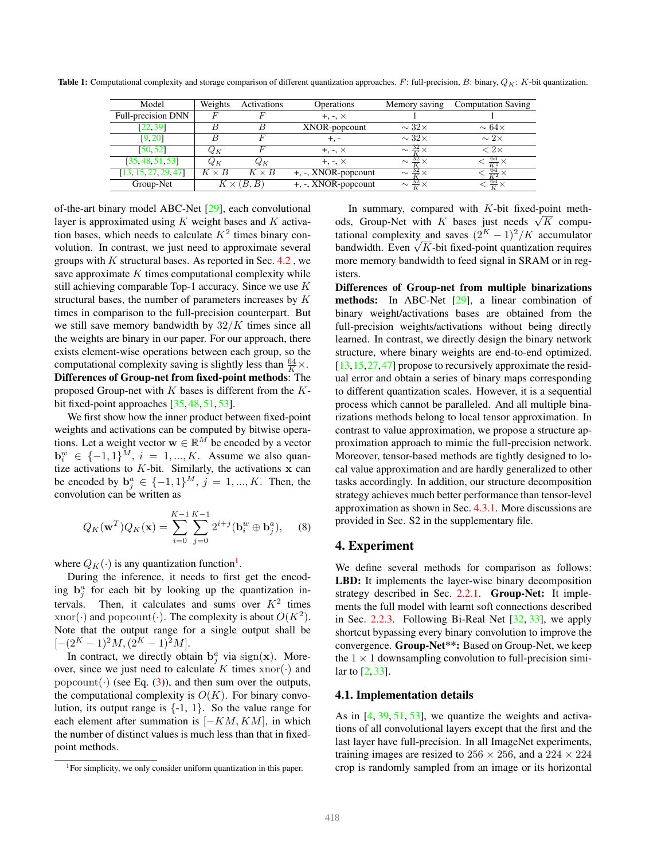|           | Model                | Weights                      | Activations | Operations             | Memory saving               | <b>Computation Saving</b> |  |
|-----------|----------------------|------------------------------|-------------|------------------------|-----------------------------|---------------------------|--|
|           | Full-precision DNN   |                              |             | $+, -, \times$         |                             |                           |  |
|           | [22, 39]             |                              |             | XNOR-popcount          | $\sim$ 32 $\times$          | $\sim 64\times$           |  |
|           | [9, 20]              |                              |             | +, -                   | $\sim 32\times$             | $\sim 2\times$            |  |
|           | [50, 52]             | $Q_{K}$                      |             | $+, -, \times$         | $\sim \frac{32}{2} \times$  | $< 2 \times$              |  |
|           | [35, 48, 51, 53]     | $Q_K$<br>Qк                  |             | $+, -, \times$         | $\sim \frac{32}{11} \times$ | $\frac{64}{K^2} \times$   |  |
|           | [13, 15, 27, 29, 47] | $K \times B$<br>$K \times B$ |             | $+, -$ , XNOR-popcount | $\sim \frac{32}{11} \times$ | $\frac{64}{V^2}$ $\times$ |  |
| Group-Net |                      | $K \times (B, B)$            |             | $+, -$ , XNOR-popcount | $\sim \frac{32}{V} \times$  | $\frac{64}{17}$ .         |  |

Table 1: Computational complexity and storage comparison of different quantization approaches.  $F$ : full-precision,  $B$ : binary,  $Q_K$ :  $K$ -bit quantization.

of-the-art binary model ABC-Net [29], each convolutional layer is approximated using  $K$  weight bases and  $K$  activation bases, which needs to calculate  $K^2$  times binary convolution. In contrast, we just need to approximate several groups with  $K$  structural bases. As reported in Sec.  $4.2$ , we save approximate  $K$  times computational complexity while still achieving comparable Top-1 accuracy. Since we use K structural bases, the number of parameters increases by K times in comparison to the full-precision counterpart. But we still save memory bandwidth by  $32/K$  times since all the weights are binary in our paper. For our approach, there exists element-wise operations between each group, so the computational complexity saving is slightly less than  $\frac{64}{K} \times$ . Differences of Group-net from fixed-point methods: The proposed Group-net with  $K$  bases is different from the  $K$ bit fixed-point approaches [35, 48, 51, 53].

We first show how the inner product between fixed-point weights and activations can be computed by bitwise operations. Let a weight vector  $\mathbf{w} \in \mathbb{R}^M$  be encoded by a vector  $\mathbf{b}_i^w \in \{-1, 1\}^M$ ,  $i = 1, ..., K$ . Assume we also quantize activations to  $K$ -bit. Similarly, the activations  $x$  can be encoded by  $\mathbf{b}_{j}^{a} \in \{-1,1\}^{M}, j = 1, ..., K$ . Then, the convolution can be written as

$$
Q_K(\mathbf{w}^T)Q_K(\mathbf{x}) = \sum_{i=0}^{K-1} \sum_{j=0}^{K-1} 2^{i+j} (\mathbf{b}_i^w \oplus \mathbf{b}_j^a), \quad (8)
$$

where  $Q_K(\cdot)$  is any quantization function<sup>1</sup>.

During the inference, it needs to first get the encoding  $\mathbf{b}_j^a$  for each bit by looking up the quantization intervals. Then, it calculates and sums over  $K^2$  times xnor(·) and popcount(·). The complexity is about  $O(K^2)$ . Note that the output range for a single output shall be  $[-(2<sup>K</sup> - 1)<sup>2</sup>M, (2<sup>K</sup> – 1)<sup>2</sup>M].$ 

In contract, we directly obtain  $\mathbf{b}_j^a$  via sign(x). Moreover, since we just need to calculate K times  $xnor(\cdot)$  and popcount( $\cdot$ ) (see Eq. (3)), and then sum over the outputs, the computational complexity is  $O(K)$ . For binary convolution, its output range is  $\{-1, 1\}$ . So the value range for each element after summation is  $[-KM, KM]$ , in which the number of distinct values is much less than that in fixedpoint methods.

In summary, compared with  $K$ -bit fixed-point methods, Group-Net with K bases just needs  $\sqrt{K}$  computational complexity and saves  $(2<sup>K</sup> - 1)<sup>2</sup>/K$  accumulator bandwidth. Even  $\sqrt{K}$ -bit fixed-point quantization requires more memory bandwidth to feed signal in SRAM or in registers.

Differences of Group-net from multiple binarizations methods: In ABC-Net [29], a linear combination of binary weight/activations bases are obtained from the full-precision weights/activations without being directly learned. In contrast, we directly design the binary network structure, where binary weights are end-to-end optimized. [13,15,27,47] propose to recursively approximate the residual error and obtain a series of binary maps corresponding to different quantization scales. However, it is a sequential process which cannot be paralleled. And all multiple binarizations methods belong to local tensor approximation. In contrast to value approximation, we propose a structure approximation approach to mimic the full-precision network. Moreover, tensor-based methods are tightly designed to local value approximation and are hardly generalized to other tasks accordingly. In addition, our structure decomposition strategy achieves much better performance than tensor-level approximation as shown in Sec. 4.3.1. More discussions are provided in Sec. S2 in the supplementary file.

## 4. Experiment

We define several methods for comparison as follows: LBD: It implements the layer-wise binary decomposition strategy described in Sec. 2.2.1. Group-Net: It implements the full model with learnt soft connections described in Sec. 2.2.3. Following Bi-Real Net [32, 33], we apply shortcut bypassing every binary convolution to improve the convergence. Group-Net\*\*: Based on Group-Net, we keep the  $1 \times 1$  downsampling convolution to full-precision similar to [2, 33].

#### 4.1. Implementation details

As in  $[4, 39, 51, 53]$ , we quantize the weights and activations of all convolutional layers except that the first and the last layer have full-precision. In all ImageNet experiments, training images are resized to  $256 \times 256$ , and a  $224 \times 224$ crop is randomly sampled from an image or its horizontal

<sup>&</sup>lt;sup>1</sup>For simplicity, we only consider uniform quantization in this paper.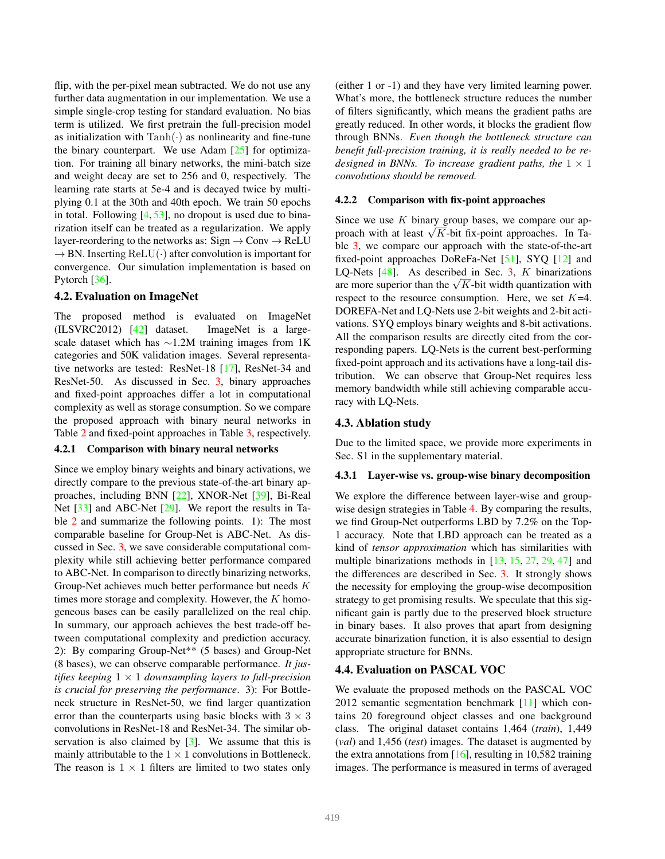flip, with the per-pixel mean subtracted. We do not use any further data augmentation in our implementation. We use a simple single-crop testing for standard evaluation. No bias term is utilized. We first pretrain the full-precision model as initialization with  $\text{Tanh}(\cdot)$  as nonlinearity and fine-tune the binary counterpart. We use Adam  $[25]$  for optimization. For training all binary networks, the mini-batch size and weight decay are set to 256 and 0, respectively. The learning rate starts at 5e-4 and is decayed twice by multiplying 0.1 at the 30th and 40th epoch. We train 50 epochs in total. Following  $[4, 53]$ , no dropout is used due to binarization itself can be treated as a regularization. We apply layer-reordering to the networks as:  $Sign \rightarrow Conv \rightarrow ReLU$  $\rightarrow$  BN. Inserting ReLU( $\cdot$ ) after convolution is important for convergence. Our simulation implementation is based on Pytorch [36].

## 4.2. Evaluation on ImageNet

The proposed method is evaluated on ImageNet (ILSVRC2012) [42] dataset. ImageNet is a largescale dataset which has ∼1.2M training images from 1K categories and 50K validation images. Several representative networks are tested: ResNet-18 [17], ResNet-34 and ResNet-50. As discussed in Sec. 3, binary approaches and fixed-point approaches differ a lot in computational complexity as well as storage consumption. So we compare the proposed approach with binary neural networks in Table 2 and fixed-point approaches in Table 3, respectively.

#### 4.2.1 Comparison with binary neural networks

Since we employ binary weights and binary activations, we directly compare to the previous state-of-the-art binary approaches, including BNN [22], XNOR-Net [39], Bi-Real Net [33] and ABC-Net [29]. We report the results in Table 2 and summarize the following points. 1): The most comparable baseline for Group-Net is ABC-Net. As discussed in Sec. 3, we save considerable computational complexity while still achieving better performance compared to ABC-Net. In comparison to directly binarizing networks, Group-Net achieves much better performance but needs K times more storage and complexity. However, the  $K$  homogeneous bases can be easily parallelized on the real chip. In summary, our approach achieves the best trade-off between computational complexity and prediction accuracy. 2): By comparing Group-Net\*\* (5 bases) and Group-Net (8 bases), we can observe comparable performance. *It justifies keeping* 1 × 1 *downsampling layers to full-precision is crucial for preserving the performance*. 3): For Bottleneck structure in ResNet-50, we find larger quantization error than the counterparts using basic blocks with  $3 \times 3$ convolutions in ResNet-18 and ResNet-34. The similar observation is also claimed by  $[3]$ . We assume that this is mainly attributable to the  $1 \times 1$  convolutions in Bottleneck. The reason is  $1 \times 1$  filters are limited to two states only (either 1 or -1) and they have very limited learning power. What's more, the bottleneck structure reduces the number of filters significantly, which means the gradient paths are greatly reduced. In other words, it blocks the gradient flow through BNNs. *Even though the bottleneck structure can benefit full-precision training, it is really needed to be redesigned in BNNs. To increase gradient paths, the*  $1 \times 1$ *convolutions should be removed.*

#### 4.2.2 Comparison with fix-point approaches

Since we use  $K$  binary group bases, we compare our approach with at least  $\sqrt{K}$ -bit fix-point approaches. In Table 3, we compare our approach with the state-of-the-art fixed-point approaches DoReFa-Net [51], SYQ [12] and LQ-Nets  $[48]$ . As described in Sec. 3, K binarizations are more superior than the  $\sqrt{K}$ -bit width quantization with respect to the resource consumption. Here, we set  $K=4$ . DOREFA-Net and LQ-Nets use 2-bit weights and 2-bit activations. SYQ employs binary weights and 8-bit activations. All the comparison results are directly cited from the corresponding papers. LQ-Nets is the current best-performing fixed-point approach and its activations have a long-tail distribution. We can observe that Group-Net requires less memory bandwidth while still achieving comparable accuracy with LQ-Nets.

## 4.3. Ablation study

Due to the limited space, we provide more experiments in Sec. S1 in the supplementary material.

#### 4.3.1 Layer-wise vs. group-wise binary decomposition

We explore the difference between layer-wise and groupwise design strategies in Table 4. By comparing the results, we find Group-Net outperforms LBD by 7.2% on the Top-1 accuracy. Note that LBD approach can be treated as a kind of *tensor approximation* which has similarities with multiple binarizations methods in [13, 15, 27, 29, 47] and the differences are described in Sec. 3. It strongly shows the necessity for employing the group-wise decomposition strategy to get promising results. We speculate that this significant gain is partly due to the preserved block structure in binary bases. It also proves that apart from designing accurate binarization function, it is also essential to design appropriate structure for BNNs.

#### 4.4. Evaluation on PASCAL VOC

We evaluate the proposed methods on the PASCAL VOC 2012 semantic segmentation benchmark [11] which contains 20 foreground object classes and one background class. The original dataset contains 1,464 (*train*), 1,449 (*val*) and 1,456 (*test*) images. The dataset is augmented by the extra annotations from  $[16]$ , resulting in 10,582 training images. The performance is measured in terms of averaged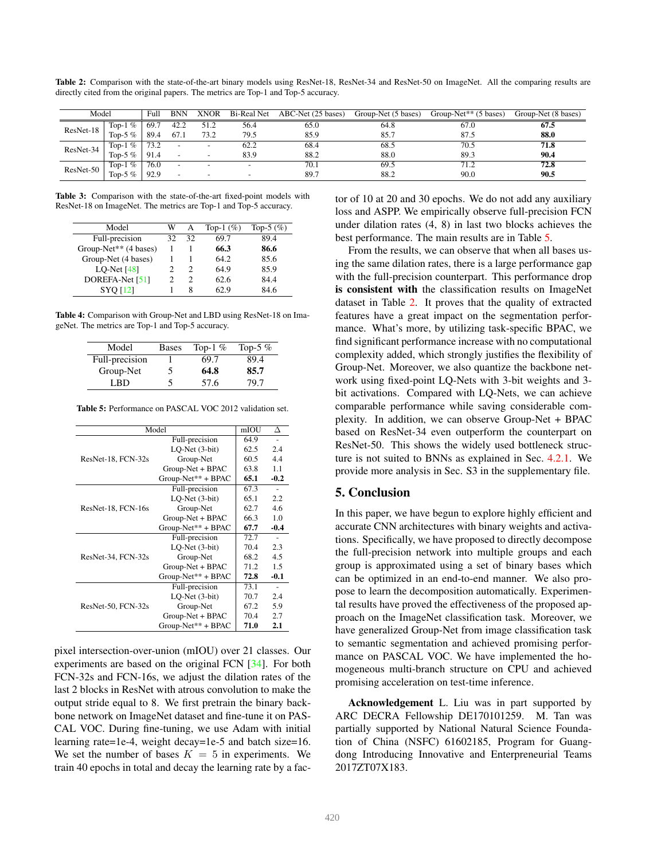| Model     |                                        | Full | <b>BNN</b>               | <b>XNOR</b> | Bi-Real Net | ABC-Net (25 bases) | Group-Net (5 bases) | Group-Net <sup>**</sup> $(5 \text{ bases})$ | Group-Net (8 bases) |
|-----------|----------------------------------------|------|--------------------------|-------------|-------------|--------------------|---------------------|---------------------------------------------|---------------------|
| ResNet-18 | $\overline{\mathcal{C}}$<br>Top-1      | 69.7 | 42.2                     | 51.2        | 56.4        | 65.0               | 64.8                | 67.0                                        | 67.5                |
|           | Top-5 $%$                              | 89.4 | 67.1                     | 73.2        | 79.5        | 85.9               | 85.7                | 87.5                                        | 88.0                |
| ResNet-34 | $\mathcal{O}_{\mathcal{O}}$<br>$Top-1$ |      |                          | -           | 62.2        | 68.4               | 68.5                | 70.5                                        | 71.8                |
|           | Top-5 $%$                              |      |                          |             | 83.9        | 88.2               | 88.0                | 89.3                                        | 90.4                |
| ResNet-50 | $Q_0$<br>$Top-1$                       | 76.0 | $\overline{\phantom{0}}$ |             |             | 70.1               | 69.5                | 71.2                                        | 72.8                |
|           | Top-5 $%$                              | 92.9 |                          |             |             | 89.7               | 88.2                | 90.0                                        | 90.5                |

Table 2: Comparison with the state-of-the-art binary models using ResNet-18, ResNet-34 and ResNet-50 on ImageNet. All the comparing results are directly cited from the original papers. The metrics are Top-1 and Top-5 accuracy.

Table 3: Comparison with the state-of-the-art fixed-point models with ResNet-18 on ImageNet. The metrics are Top-1 and Top-5 accuracy.

| Model                 | w  | А  | Top-1 $(\%)$ | Top-5 $(\% )$ |
|-----------------------|----|----|--------------|---------------|
| Full-precision        | 32 | 32 | 69.7         | 89.4          |
| Group-Net** (4 bases) |    |    | 66.3         | 86.6          |
| Group-Net (4 bases)   |    |    | 64.2         | 85.6          |
| LO-Net $[48]$         |    | 2  | 64.9         | 85.9          |
| DOREFA-Net [51]       |    | 2  | 62.6         | 84.4          |
| <b>SYO</b> [12]       |    | 8  | 62 Q         | 84.6          |

Table 4: Comparison with Group-Net and LBD using ResNet-18 on ImageNet. The metrics are Top-1 and Top-5 accuracy.

| Model          | <b>Bases</b>  | Top-1 $%$ | Top-5 $%$ |
|----------------|---------------|-----------|-----------|
| Full-precision |               | 69.7      | 89.4      |
| Group-Net      | $\mathcal{D}$ | 64.8      | 85.7      |
| I RD           |               | 57.6      | 79.7      |

Table 5: Performance on PASCAL VOC 2012 validation set.

| Model              | mIOU                     | Δ    |        |
|--------------------|--------------------------|------|--------|
|                    | Full-precision           | 64.9 |        |
|                    | LO-Net (3-bit)           | 62.5 | 2.4    |
| ResNet-18, FCN-32s | Group-Net                | 60.5 | 4.4    |
|                    | Group-Net + BPAC         | 63.8 | 1.1    |
|                    | Group-Net** + BPAC       | 65.1 | $-0.2$ |
|                    | Full-precision           | 67.3 |        |
|                    | LO-Net (3-bit)           | 65.1 | 2.2    |
| ResNet-18, FCN-16s | 62.7<br>Group-Net        |      | 4.6    |
|                    | Group-Net + BPAC<br>66.3 |      | 1.0    |
|                    | Group-Net** + BPAC       | 67.7 | $-0.4$ |
|                    | Full-precision           | 72.7 |        |
|                    | LO-Net (3-bit)           | 70.4 | 2.3    |
| ResNet-34, FCN-32s | Group-Net                | 68.2 | 4.5    |
|                    | Group-Net + BPAC         | 71.2 | 1.5    |
|                    | $Group-Net** + BPAC$     | 72.8 | $-0.1$ |
|                    | Full-precision           | 73.1 |        |
|                    | LO-Net (3-bit)           | 70.7 | 2.4    |
| ResNet-50, FCN-32s | Group-Net                | 67.2 | 5.9    |
|                    | Group-Net + BPAC         | 70.4 | 2.7    |
|                    | Group-Net** + BPAC       | 71.0 | 2.1    |

pixel intersection-over-union (mIOU) over 21 classes. Our experiments are based on the original FCN [34]. For both FCN-32s and FCN-16s, we adjust the dilation rates of the last 2 blocks in ResNet with atrous convolution to make the output stride equal to 8. We first pretrain the binary backbone network on ImageNet dataset and fine-tune it on PAS-CAL VOC. During fine-tuning, we use Adam with initial learning rate=1e-4, weight decay=1e-5 and batch size=16. We set the number of bases  $K = 5$  in experiments. We train 40 epochs in total and decay the learning rate by a factor of 10 at 20 and 30 epochs. We do not add any auxiliary loss and ASPP. We empirically observe full-precision FCN under dilation rates (4, 8) in last two blocks achieves the best performance. The main results are in Table 5.

From the results, we can observe that when all bases using the same dilation rates, there is a large performance gap with the full-precision counterpart. This performance drop is consistent with the classification results on ImageNet dataset in Table 2. It proves that the quality of extracted features have a great impact on the segmentation performance. What's more, by utilizing task-specific BPAC, we find significant performance increase with no computational complexity added, which strongly justifies the flexibility of Group-Net. Moreover, we also quantize the backbone network using fixed-point LQ-Nets with 3-bit weights and 3 bit activations. Compared with LQ-Nets, we can achieve comparable performance while saving considerable complexity. In addition, we can observe Group-Net + BPAC based on ResNet-34 even outperform the counterpart on ResNet-50. This shows the widely used bottleneck structure is not suited to BNNs as explained in Sec. 4.2.1. We provide more analysis in Sec. S3 in the supplementary file.

# 5. Conclusion

In this paper, we have begun to explore highly efficient and accurate CNN architectures with binary weights and activations. Specifically, we have proposed to directly decompose the full-precision network into multiple groups and each group is approximated using a set of binary bases which can be optimized in an end-to-end manner. We also propose to learn the decomposition automatically. Experimental results have proved the effectiveness of the proposed approach on the ImageNet classification task. Moreover, we have generalized Group-Net from image classification task to semantic segmentation and achieved promising performance on PASCAL VOC. We have implemented the homogeneous multi-branch structure on CPU and achieved promising acceleration on test-time inference.

Acknowledgement L. Liu was in part supported by ARC DECRA Fellowship DE170101259. M. Tan was partially supported by National Natural Science Foundation of China (NSFC) 61602185, Program for Guangdong Introducing Innovative and Enterpreneurial Teams 2017ZT07X183.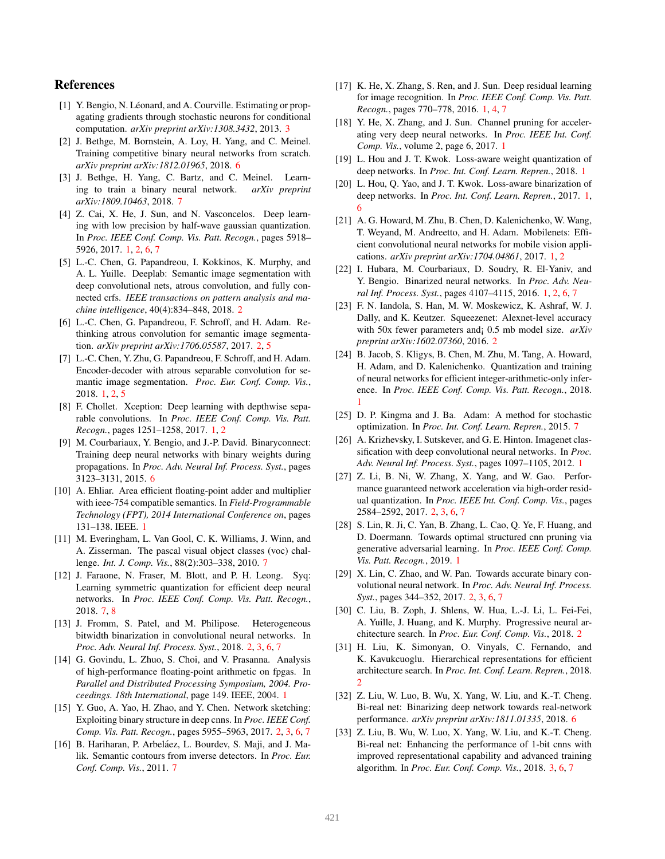# References

- [1] Y. Bengio, N. Léonard, and A. Courville. Estimating or propagating gradients through stochastic neurons for conditional computation. *arXiv preprint arXiv:1308.3432*, 2013. 3
- [2] J. Bethge, M. Bornstein, A. Loy, H. Yang, and C. Meinel. Training competitive binary neural networks from scratch. *arXiv preprint arXiv:1812.01965*, 2018. 6
- [3] J. Bethge, H. Yang, C. Bartz, and C. Meinel. Learning to train a binary neural network. *arXiv preprint arXiv:1809.10463*, 2018. 7
- [4] Z. Cai, X. He, J. Sun, and N. Vasconcelos. Deep learning with low precision by half-wave gaussian quantization. In *Proc. IEEE Conf. Comp. Vis. Patt. Recogn.*, pages 5918– 5926, 2017. 1, 2, 6, 7
- [5] L.-C. Chen, G. Papandreou, I. Kokkinos, K. Murphy, and A. L. Yuille. Deeplab: Semantic image segmentation with deep convolutional nets, atrous convolution, and fully connected crfs. *IEEE transactions on pattern analysis and machine intelligence*, 40(4):834–848, 2018. 2
- [6] L.-C. Chen, G. Papandreou, F. Schroff, and H. Adam. Rethinking atrous convolution for semantic image segmentation. *arXiv preprint arXiv:1706.05587*, 2017. 2, 5
- [7] L.-C. Chen, Y. Zhu, G. Papandreou, F. Schroff, and H. Adam. Encoder-decoder with atrous separable convolution for semantic image segmentation. *Proc. Eur. Conf. Comp. Vis.*, 2018. 1, 2, 5
- [8] F. Chollet. Xception: Deep learning with depthwise separable convolutions. In *Proc. IEEE Conf. Comp. Vis. Patt. Recogn.*, pages 1251–1258, 2017. 1, 2
- [9] M. Courbariaux, Y. Bengio, and J.-P. David. Binaryconnect: Training deep neural networks with binary weights during propagations. In *Proc. Adv. Neural Inf. Process. Syst.*, pages 3123–3131, 2015. 6
- [10] A. Ehliar. Area efficient floating-point adder and multiplier with ieee-754 compatible semantics. In *Field-Programmable Technology (FPT), 2014 International Conference on*, pages 131–138. IEEE. 1
- [11] M. Everingham, L. Van Gool, C. K. Williams, J. Winn, and A. Zisserman. The pascal visual object classes (voc) challenge. *Int. J. Comp. Vis.*, 88(2):303–338, 2010. 7
- [12] J. Faraone, N. Fraser, M. Blott, and P. H. Leong. Syq: Learning symmetric quantization for efficient deep neural networks. In *Proc. IEEE Conf. Comp. Vis. Patt. Recogn.*, 2018. 7, 8
- [13] J. Fromm, S. Patel, and M. Philipose. Heterogeneous bitwidth binarization in convolutional neural networks. In *Proc. Adv. Neural Inf. Process. Syst.*, 2018. 2, 3, 6, 7
- [14] G. Govindu, L. Zhuo, S. Choi, and V. Prasanna. Analysis of high-performance floating-point arithmetic on fpgas. In *Parallel and Distributed Processing Symposium, 2004. Proceedings. 18th International*, page 149. IEEE, 2004. 1
- [15] Y. Guo, A. Yao, H. Zhao, and Y. Chen. Network sketching: Exploiting binary structure in deep cnns. In *Proc. IEEE Conf. Comp. Vis. Patt. Recogn.*, pages 5955–5963, 2017. 2, 3, 6, 7
- [16] B. Hariharan, P. Arbeláez, L. Bourdev, S. Maji, and J. Malik. Semantic contours from inverse detectors. In *Proc. Eur. Conf. Comp. Vis.*, 2011. 7
- [17] K. He, X. Zhang, S. Ren, and J. Sun. Deep residual learning for image recognition. In *Proc. IEEE Conf. Comp. Vis. Patt. Recogn.*, pages 770–778, 2016. 1, 4, 7
- [18] Y. He, X. Zhang, and J. Sun. Channel pruning for accelerating very deep neural networks. In *Proc. IEEE Int. Conf. Comp. Vis.*, volume 2, page 6, 2017. 1
- [19] L. Hou and J. T. Kwok. Loss-aware weight quantization of deep networks. In *Proc. Int. Conf. Learn. Repren.*, 2018. 1
- [20] L. Hou, Q. Yao, and J. T. Kwok. Loss-aware binarization of deep networks. In *Proc. Int. Conf. Learn. Repren.*, 2017. 1, 6
- [21] A. G. Howard, M. Zhu, B. Chen, D. Kalenichenko, W. Wang, T. Weyand, M. Andreetto, and H. Adam. Mobilenets: Efficient convolutional neural networks for mobile vision applications. *arXiv preprint arXiv:1704.04861*, 2017. 1, 2
- [22] I. Hubara, M. Courbariaux, D. Soudry, R. El-Yaniv, and Y. Bengio. Binarized neural networks. In *Proc. Adv. Neural Inf. Process. Syst.*, pages 4107–4115, 2016. 1, 2, 6, 7
- [23] F. N. Iandola, S. Han, M. W. Moskewicz, K. Ashraf, W. J. Dally, and K. Keutzer. Squeezenet: Alexnet-level accuracy with 50x fewer parameters and¡ 0.5 mb model size. *arXiv preprint arXiv:1602.07360*, 2016. 2
- [24] B. Jacob, S. Kligys, B. Chen, M. Zhu, M. Tang, A. Howard, H. Adam, and D. Kalenichenko. Quantization and training of neural networks for efficient integer-arithmetic-only inference. In *Proc. IEEE Conf. Comp. Vis. Patt. Recogn.*, 2018. 1
- [25] D. P. Kingma and J. Ba. Adam: A method for stochastic optimization. In *Proc. Int. Conf. Learn. Repren.*, 2015. 7
- [26] A. Krizhevsky, I. Sutskever, and G. E. Hinton. Imagenet classification with deep convolutional neural networks. In *Proc. Adv. Neural Inf. Process. Syst.*, pages 1097–1105, 2012. 1
- [27] Z. Li, B. Ni, W. Zhang, X. Yang, and W. Gao. Performance guaranteed network acceleration via high-order residual quantization. In *Proc. IEEE Int. Conf. Comp. Vis.*, pages 2584–2592, 2017. 2, 3, 6, 7
- [28] S. Lin, R. Ji, C. Yan, B. Zhang, L. Cao, Q. Ye, F. Huang, and D. Doermann. Towards optimal structured cnn pruning via generative adversarial learning. In *Proc. IEEE Conf. Comp. Vis. Patt. Recogn.*, 2019. 1
- [29] X. Lin, C. Zhao, and W. Pan. Towards accurate binary convolutional neural network. In *Proc. Adv. Neural Inf. Process. Syst.*, pages 344–352, 2017. 2, 3, 6, 7
- [30] C. Liu, B. Zoph, J. Shlens, W. Hua, L.-J. Li, L. Fei-Fei, A. Yuille, J. Huang, and K. Murphy. Progressive neural architecture search. In *Proc. Eur. Conf. Comp. Vis.*, 2018. 2
- [31] H. Liu, K. Simonyan, O. Vinyals, C. Fernando, and K. Kavukcuoglu. Hierarchical representations for efficient architecture search. In *Proc. Int. Conf. Learn. Repren.*, 2018. 2
- [32] Z. Liu, W. Luo, B. Wu, X. Yang, W. Liu, and K.-T. Cheng. Bi-real net: Binarizing deep network towards real-network performance. *arXiv preprint arXiv:1811.01335*, 2018. 6
- [33] Z. Liu, B. Wu, W. Luo, X. Yang, W. Liu, and K.-T. Cheng. Bi-real net: Enhancing the performance of 1-bit cnns with improved representational capability and advanced training algorithm. In *Proc. Eur. Conf. Comp. Vis.*, 2018. 3, 6, 7